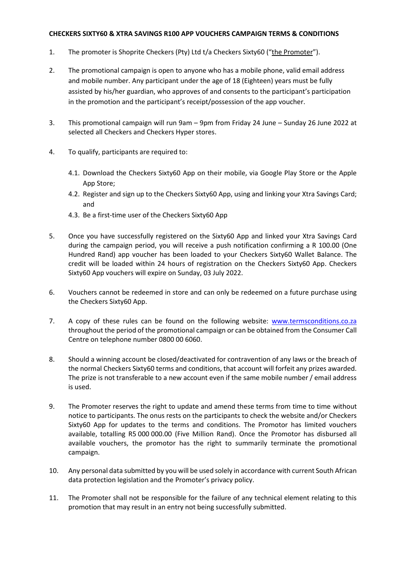## **CHECKERS SIXTY60 & XTRA SAVINGS R100 APP VOUCHERS CAMPAIGN TERMS & CONDITIONS**

- 1. The promoter is Shoprite Checkers (Pty) Ltd t/a Checkers Sixty60 ("the Promoter").
- 2. The promotional campaign is open to anyone who has a mobile phone, valid email address and mobile number. Any participant under the age of 18 (Eighteen) years must be fully assisted by his/her guardian, who approves of and consents to the participant's participation in the promotion and the participant's receipt/possession of the app voucher.
- 3. This promotional campaign will run 9am 9pm from Friday 24 June Sunday 26 June 2022 at selected all Checkers and Checkers Hyper stores.
- 4. To qualify, participants are required to:
	- 4.1. Download the Checkers Sixty60 App on their mobile, via Google Play Store or the Apple App Store;
	- 4.2. Register and sign up to the Checkers Sixty60 App, using and linking your Xtra Savings Card; and
	- 4.3. Be a first-time user of the Checkers Sixty60 App
- 5. Once you have successfully registered on the Sixty60 App and linked your Xtra Savings Card during the campaign period, you will receive a push notification confirming a R 100.00 (One Hundred Rand) app voucher has been loaded to your Checkers Sixty60 Wallet Balance. The credit will be loaded within 24 hours of registration on the Checkers Sixty60 App. Checkers Sixty60 App vouchers will expire on Sunday, 03 July 2022.
- 6. Vouchers cannot be redeemed in store and can only be redeemed on a future purchase using the Checkers Sixty60 App.
- 7. A copy of these rules can be found on the following website: [www.termsconditions.co.za](http://www.termsconditions.co.za/) throughout the period of the promotional campaign or can be obtained from the Consumer Call Centre on telephone number 0800 00 6060.
- 8. Should a winning account be closed/deactivated for contravention of any laws or the breach of the normal Checkers Sixty60 terms and conditions, that account will forfeit any prizes awarded. The prize is not transferable to a new account even if the same mobile number / email address is used.
- 9. The Promoter reserves the right to update and amend these terms from time to time without notice to participants. The onus rests on the participants to check the website and/or Checkers Sixty60 App for updates to the terms and conditions. The Promotor has limited vouchers available, totalling R5 000 000.00 (Five Million Rand). Once the Promotor has disbursed all available vouchers, the promotor has the right to summarily terminate the promotional campaign.
- 10. Any personal data submitted by you will be used solely in accordance with current South African data protection legislation and the Promoter's privacy policy.
- 11. The Promoter shall not be responsible for the failure of any technical element relating to this promotion that may result in an entry not being successfully submitted.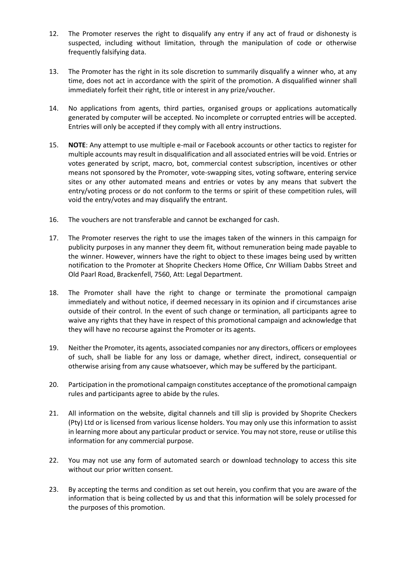- 12. The Promoter reserves the right to disqualify any entry if any act of fraud or dishonesty is suspected, including without limitation, through the manipulation of code or otherwise frequently falsifying data.
- 13. The Promoter has the right in its sole discretion to summarily disqualify a winner who, at any time, does not act in accordance with the spirit of the promotion. A disqualified winner shall immediately forfeit their right, title or interest in any prize/voucher.
- 14. No applications from agents, third parties, organised groups or applications automatically generated by computer will be accepted. No incomplete or corrupted entries will be accepted. Entries will only be accepted if they comply with all entry instructions.
- 15. **NOTE**: Any attempt to use multiple e-mail or Facebook accounts or other tactics to register for multiple accounts may result in disqualification and all associated entries will be void. Entries or votes generated by script, macro, bot, commercial contest subscription, incentives or other means not sponsored by the Promoter, vote-swapping sites, voting software, entering service sites or any other automated means and entries or votes by any means that subvert the entry/voting process or do not conform to the terms or spirit of these competition rules, will void the entry/votes and may disqualify the entrant.
- 16. The vouchers are not transferable and cannot be exchanged for cash.
- 17. The Promoter reserves the right to use the images taken of the winners in this campaign for publicity purposes in any manner they deem fit, without remuneration being made payable to the winner. However, winners have the right to object to these images being used by written notification to the Promoter at Shoprite Checkers Home Office, Cnr William Dabbs Street and Old Paarl Road, Brackenfell, 7560, Att: Legal Department.
- 18. The Promoter shall have the right to change or terminate the promotional campaign immediately and without notice, if deemed necessary in its opinion and if circumstances arise outside of their control. In the event of such change or termination, all participants agree to waive any rights that they have in respect of this promotional campaign and acknowledge that they will have no recourse against the Promoter or its agents.
- 19. Neither the Promoter, its agents, associated companies nor any directors, officers or employees of such, shall be liable for any loss or damage, whether direct, indirect, consequential or otherwise arising from any cause whatsoever, which may be suffered by the participant.
- 20. Participation in the promotional campaign constitutes acceptance of the promotional campaign rules and participants agree to abide by the rules.
- 21. All information on the website, digital channels and till slip is provided by Shoprite Checkers (Pty) Ltd or is licensed from various license holders. You may only use this information to assist in learning more about any particular product or service. You may not store, reuse or utilise this information for any commercial purpose.
- 22. You may not use any form of automated search or download technology to access this site without our prior written consent.
- 23. By accepting the terms and condition as set out herein, you confirm that you are aware of the information that is being collected by us and that this information will be solely processed for the purposes of this promotion.